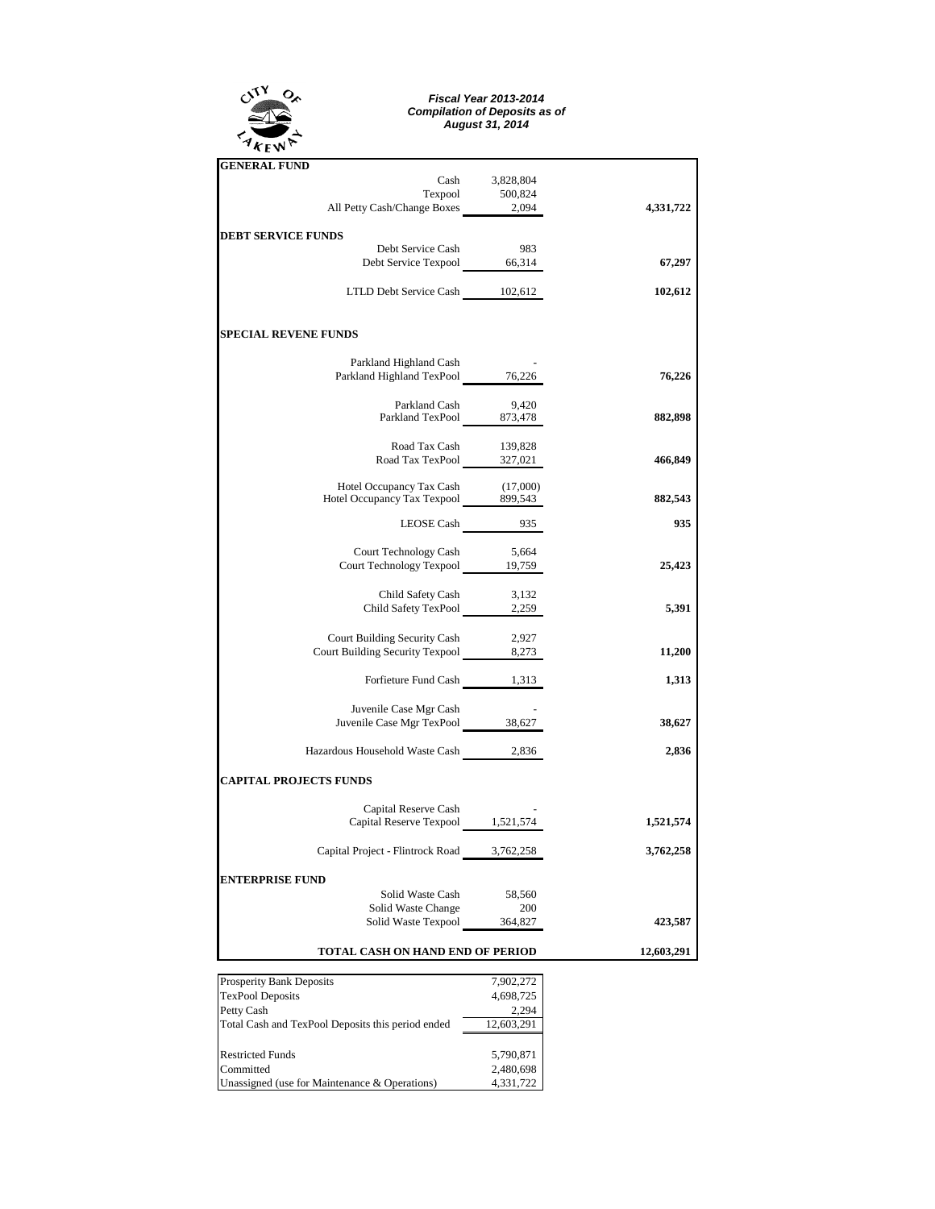

## *Fiscal Year 2013-2014 Compilation of Deposits as of August 31, 2014*

| <b>GENERAL FUND</b>                                                      |                        |            |
|--------------------------------------------------------------------------|------------------------|------------|
| Cash                                                                     | 3,828,804              |            |
| Texpool<br>All Petty Cash/Change Boxes 2,094                             | 500,824                | 4,331,722  |
|                                                                          |                        |            |
| <b>DEBT SERVICE FUNDS</b>                                                |                        |            |
| Debt Service Cash                                                        | 983                    |            |
| Debt Service Texpool 66,314                                              |                        | 67,297     |
| LTLD Debt Service Cash 102,612                                           |                        | 102,612    |
|                                                                          |                        |            |
| <b>SPECIAL REVENE FUNDS</b>                                              |                        |            |
| Parkland Highland Cash                                                   |                        |            |
| Parkland Highland TexPool 76,226                                         |                        | 76,226     |
|                                                                          |                        |            |
| Parkland Cash 9,420<br>Parkland TexPool 873,478                          |                        |            |
|                                                                          |                        | 882,898    |
|                                                                          |                        |            |
| Road Tax Cash 139,828<br>Road Tax TexPool 327,021                        |                        | 466,849    |
|                                                                          |                        |            |
| Hotel Occupancy Tax Cash (17,000)<br>Hotel Occupancy Tax Texpool 899,543 |                        | 882,543    |
|                                                                          |                        |            |
| LEOSE Cash 935                                                           |                        | 935        |
|                                                                          |                        |            |
| Court Technology Cash 5,664<br>Court Technology Texpool 19,759           |                        | 25,423     |
|                                                                          |                        |            |
| Child Safety Cash 3,132<br>Child Safety TexPool 2,259                    |                        |            |
|                                                                          |                        | 5,391      |
| Court Building Security Cash                                             | 2,927                  |            |
| Court Building Security Texpool 8,273                                    |                        | 11,200     |
|                                                                          |                        |            |
| Forfieture Fund Cash 1,313                                               |                        | 1,313      |
|                                                                          |                        |            |
| Juvenile Case Mgr Cash<br>Juvenile Case Mgr TexPool 38,627               |                        | 38,627     |
|                                                                          |                        |            |
| Hazardous Household Waste Cash 2,836                                     |                        | 2,836      |
| <b>CAPITAL PROJECTS FUNDS</b>                                            |                        |            |
| Capital Reserve Cash                                                     |                        |            |
| Capital Reserve Texpool 1,521,574                                        |                        | 1,521,574  |
|                                                                          |                        |            |
| Capital Project - Flintrock Road                                         | 3,762,258              | 3,762,258  |
| <b>ENTERPRISE FUND</b>                                                   |                        |            |
| Solid Waste Cash                                                         | 58,560                 |            |
| Solid Waste Change                                                       | 200                    |            |
| Solid Waste Texpool                                                      | 364,827                | 423,587    |
|                                                                          |                        |            |
| TOTAL CASH ON HAND END OF PERIOD                                         |                        | 12,603,291 |
| <b>Prosperity Bank Deposits</b>                                          | 7,902,272              |            |
| <b>TexPool Deposits</b>                                                  | 4,698,725              |            |
| Petty Cash                                                               | 2,294                  |            |
| Total Cash and TexPool Deposits this period ended                        | 12,603,291             |            |
|                                                                          |                        |            |
| <b>Restricted Funds</b><br>Committed                                     | 5,790,871<br>2,480,698 |            |
| Unassigned (use for Maintenance & Operations)                            | 4,331,722              |            |
|                                                                          |                        |            |